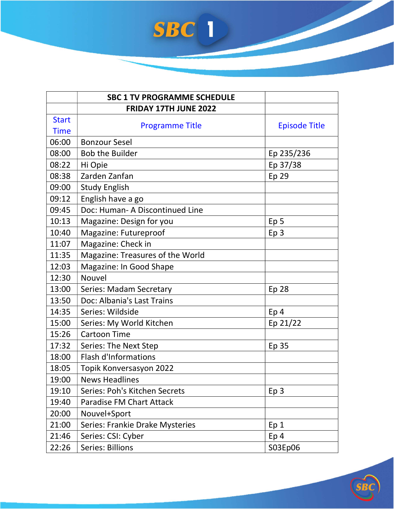

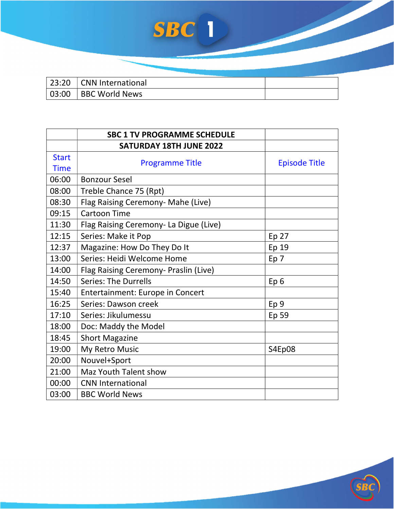| 23:20   CNN International |  |
|---------------------------|--|
| 03:00   BBC World News    |  |

|              | <b>SBC 1 TV PROGRAMME SCHEDULE</b>     |                      |
|--------------|----------------------------------------|----------------------|
|              | <b>SATURDAY 18TH JUNE 2022</b>         |                      |
| <b>Start</b> |                                        |                      |
| <b>Time</b>  | <b>Programme Title</b>                 | <b>Episode Title</b> |
| 06:00        | <b>Bonzour Sesel</b>                   |                      |
| 08:00        | Treble Chance 75 (Rpt)                 |                      |
| 08:30        | Flag Raising Ceremony- Mahe (Live)     |                      |
| 09:15        | <b>Cartoon Time</b>                    |                      |
| 11:30        | Flag Raising Ceremony- La Digue (Live) |                      |
| 12:15        | Series: Make it Pop                    | Ep 27                |
| 12:37        | Magazine: How Do They Do It            | Ep 19                |
| 13:00        | Series: Heidi Welcome Home             | Ep <sub>7</sub>      |
| 14:00        | Flag Raising Ceremony- Praslin (Live)  |                      |
| 14:50        | <b>Series: The Durrells</b>            | Ep <sub>6</sub>      |
| 15:40        | Entertainment: Europe in Concert       |                      |
| 16:25        | Series: Dawson creek                   | Ep <sub>9</sub>      |
| 17:10        | Series: Jikulumessu                    | Ep 59                |
| 18:00        | Doc: Maddy the Model                   |                      |
| 18:45        | <b>Short Magazine</b>                  |                      |
| 19:00        | My Retro Music                         | S4Ep08               |
| 20:00        | Nouvel+Sport                           |                      |
| 21:00        | Maz Youth Talent show                  |                      |
| 00:00        | <b>CNN International</b>               |                      |
| 03:00        | <b>BBC World News</b>                  |                      |

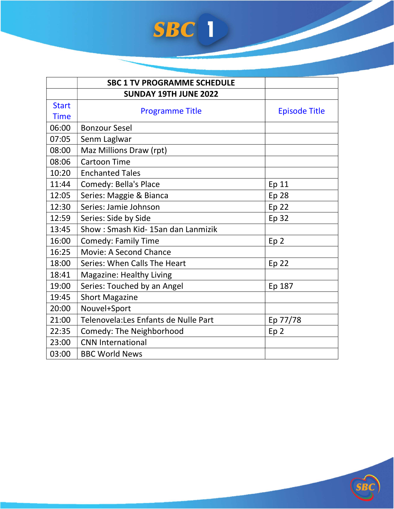|              | <b>SBC 1 TV PROGRAMME SCHEDULE</b>    |                      |
|--------------|---------------------------------------|----------------------|
|              | <b>SUNDAY 19TH JUNE 2022</b>          |                      |
| <b>Start</b> | <b>Programme Title</b>                | <b>Episode Title</b> |
| <b>Time</b>  |                                       |                      |
| 06:00        | <b>Bonzour Sesel</b>                  |                      |
| 07:05        | Senm Laglwar                          |                      |
| 08:00        | Maz Millions Draw (rpt)               |                      |
| 08:06        | <b>Cartoon Time</b>                   |                      |
| 10:20        | <b>Enchanted Tales</b>                |                      |
| 11:44        | Comedy: Bella's Place                 | Ep 11                |
| 12:05        | Series: Maggie & Bianca               | <b>Ep 28</b>         |
| 12:30        | Series: Jamie Johnson                 | Ep 22                |
| 12:59        | Series: Side by Side                  | Ep 32                |
| 13:45        | Show: Smash Kid-15an dan Lanmizik     |                      |
| 16:00        | <b>Comedy: Family Time</b>            | Ep <sub>2</sub>      |
| 16:25        | Movie: A Second Chance                |                      |
| 18:00        | Series: When Calls The Heart          | <b>Ep 22</b>         |
| 18:41        | <b>Magazine: Healthy Living</b>       |                      |
| 19:00        | Series: Touched by an Angel           | Ep 187               |
| 19:45        | <b>Short Magazine</b>                 |                      |
| 20:00        | Nouvel+Sport                          |                      |
| 21:00        | Telenovela: Les Enfants de Nulle Part | Ep 77/78             |
| 22:35        | Comedy: The Neighborhood              | Ep <sub>2</sub>      |
| 23:00        | <b>CNN International</b>              |                      |
| 03:00        | <b>BBC World News</b>                 |                      |

SB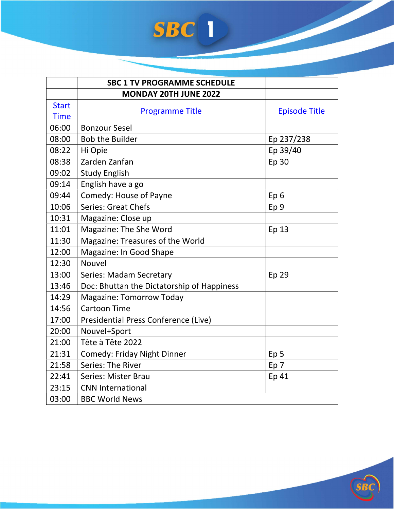|              | <b>SBC 1 TV PROGRAMME SCHEDULE</b>          |                      |
|--------------|---------------------------------------------|----------------------|
|              | <b>MONDAY 20TH JUNE 2022</b>                |                      |
| <b>Start</b> | <b>Programme Title</b>                      | <b>Episode Title</b> |
| <b>Time</b>  |                                             |                      |
| 06:00        | <b>Bonzour Sesel</b>                        |                      |
| 08:00        | <b>Bob the Builder</b>                      | Ep 237/238           |
| 08:22        | Hi Opie                                     | Ep 39/40             |
| 08:38        | Zarden Zanfan                               | Ep 30                |
| 09:02        | <b>Study English</b>                        |                      |
| 09:14        | English have a go                           |                      |
| 09:44        | Comedy: House of Payne                      | Ep <sub>6</sub>      |
| 10:06        | <b>Series: Great Chefs</b>                  | Ep <sub>9</sub>      |
| 10:31        | Magazine: Close up                          |                      |
| 11:01        | Magazine: The She Word                      | Ep 13                |
| 11:30        | Magazine: Treasures of the World            |                      |
| 12:00        | Magazine: In Good Shape                     |                      |
| 12:30        | <b>Nouvel</b>                               |                      |
| 13:00        | <b>Series: Madam Secretary</b>              | Ep 29                |
| 13:46        | Doc: Bhuttan the Dictatorship of Happiness  |                      |
| 14:29        | <b>Magazine: Tomorrow Today</b>             |                      |
| 14:56        | <b>Cartoon Time</b>                         |                      |
| 17:00        | <b>Presidential Press Conference (Live)</b> |                      |
| 20:00        | Nouvel+Sport                                |                      |
| 21:00        | Tête à Tête 2022                            |                      |
| 21:31        | <b>Comedy: Friday Night Dinner</b>          | Ep <sub>5</sub>      |
| 21:58        | Series: The River                           | Ep <sub>7</sub>      |
| 22:41        | <b>Series: Mister Brau</b>                  | Ep 41                |
| 23:15        | <b>CNN International</b>                    |                      |
| 03:00        | <b>BBC World News</b>                       |                      |

SB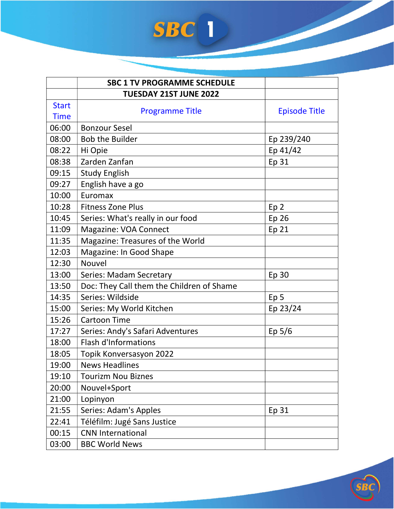|              | <b>SBC 1 TV PROGRAMME SCHEDULE</b>        |                      |
|--------------|-------------------------------------------|----------------------|
|              | <b>TUESDAY 21ST JUNE 2022</b>             |                      |
| <b>Start</b> | <b>Programme Title</b>                    | <b>Episode Title</b> |
| <b>Time</b>  |                                           |                      |
| 06:00        | <b>Bonzour Sesel</b>                      |                      |
| 08:00        | <b>Bob the Builder</b>                    | Ep 239/240           |
| 08:22        | Hi Opie                                   | Ep 41/42             |
| 08:38        | Zarden Zanfan                             | Ep 31                |
| 09:15        | <b>Study English</b>                      |                      |
| 09:27        | English have a go                         |                      |
| 10:00        | Euromax                                   |                      |
| 10:28        | <b>Fitness Zone Plus</b>                  | Ep <sub>2</sub>      |
| 10:45        | Series: What's really in our food         | Ep 26                |
| 11:09        | Magazine: VOA Connect                     | Ep 21                |
| 11:35        | Magazine: Treasures of the World          |                      |
| 12:03        | Magazine: In Good Shape                   |                      |
| 12:30        | <b>Nouvel</b>                             |                      |
| 13:00        | <b>Series: Madam Secretary</b>            | Ep 30                |
| 13:50        | Doc: They Call them the Children of Shame |                      |
| 14:35        | Series: Wildside                          | Ep <sub>5</sub>      |
| 15:00        | Series: My World Kitchen                  | Ep 23/24             |
| 15:26        | <b>Cartoon Time</b>                       |                      |
| 17:27        | Series: Andy's Safari Adventures          | Ep $5/6$             |
| 18:00        | <b>Flash d'Informations</b>               |                      |
| 18:05        | Topik Konversasyon 2022                   |                      |
| 19:00        | <b>News Headlines</b>                     |                      |
| 19:10        | <b>Tourizm Nou Biznes</b>                 |                      |
| 20:00        | Nouvel+Sport                              |                      |
| 21:00        | Lopinyon                                  |                      |
| 21:55        | Series: Adam's Apples                     | Ep 31                |
| 22:41        | Téléfilm: Jugé Sans Justice               |                      |
| 00:15        | <b>CNN International</b>                  |                      |
| 03:00        | <b>BBC World News</b>                     |                      |

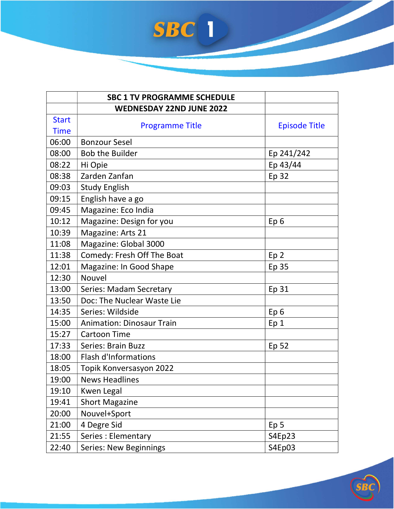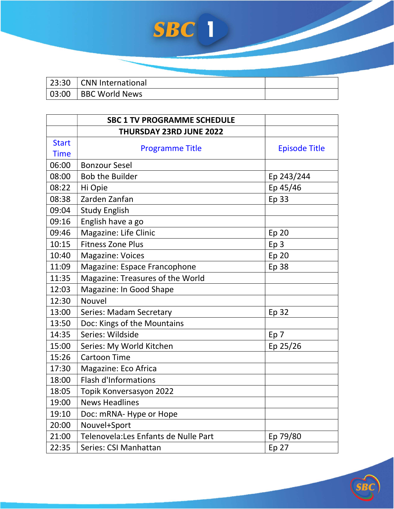| 23:30 CNN International |  |
|-------------------------|--|
| 03:00   BBC World News  |  |

|              | <b>SBC 1 TV PROGRAMME SCHEDULE</b>    |                      |
|--------------|---------------------------------------|----------------------|
|              | <b>THURSDAY 23RD JUNE 2022</b>        |                      |
| <b>Start</b> | <b>Programme Title</b>                | <b>Episode Title</b> |
| <b>Time</b>  |                                       |                      |
| 06:00        | <b>Bonzour Sesel</b>                  |                      |
| 08:00        | <b>Bob the Builder</b>                | Ep 243/244           |
| 08:22        | Hi Opie                               | Ep 45/46             |
| 08:38        | Zarden Zanfan                         | <b>Ep 33</b>         |
| 09:04        | <b>Study English</b>                  |                      |
| 09:16        | English have a go                     |                      |
| 09:46        | Magazine: Life Clinic                 | Ep 20                |
| 10:15        | <b>Fitness Zone Plus</b>              | Ep <sub>3</sub>      |
| 10:40        | <b>Magazine: Voices</b>               | Ep 20                |
| 11:09        | Magazine: Espace Francophone          | Ep 38                |
| 11:35        | Magazine: Treasures of the World      |                      |
| 12:03        | Magazine: In Good Shape               |                      |
| 12:30        | Nouvel                                |                      |
| 13:00        | Series: Madam Secretary               | Ep 32                |
| 13:50        | Doc: Kings of the Mountains           |                      |
| 14:35        | Series: Wildside                      | Ep 7                 |
| 15:00        | Series: My World Kitchen              | Ep 25/26             |
| 15:26        | <b>Cartoon Time</b>                   |                      |
| 17:30        | Magazine: Eco Africa                  |                      |
| 18:00        | <b>Flash d'Informations</b>           |                      |
| 18:05        | Topik Konversasyon 2022               |                      |
| 19:00        | <b>News Headlines</b>                 |                      |
| 19:10        | Doc: mRNA- Hype or Hope               |                      |
| 20:00        | Nouvel+Sport                          |                      |
| 21:00        | Telenovela: Les Enfants de Nulle Part | Ep 79/80             |
| 22:35        | Series: CSI Manhattan                 | Ep 27                |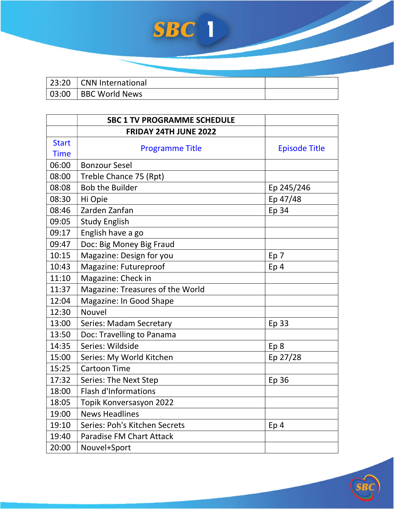| 23:20 CNN International |  |
|-------------------------|--|
| 03:00   BBC World News  |  |

|              | <b>SBC 1 TV PROGRAMME SCHEDULE</b> |                      |
|--------------|------------------------------------|----------------------|
|              | <b>FRIDAY 24TH JUNE 2022</b>       |                      |
| <b>Start</b> | <b>Programme Title</b>             | <b>Episode Title</b> |
| <b>Time</b>  |                                    |                      |
| 06:00        | <b>Bonzour Sesel</b>               |                      |
| 08:00        | Treble Chance 75 (Rpt)             |                      |
| 08:08        | <b>Bob the Builder</b>             | Ep 245/246           |
| 08:30        | Hi Opie                            | Ep 47/48             |
| 08:46        | Zarden Zanfan                      | Ep 34                |
| 09:05        | <b>Study English</b>               |                      |
| 09:17        | English have a go                  |                      |
| 09:47        | Doc: Big Money Big Fraud           |                      |
| 10:15        | Magazine: Design for you           | Ep 7                 |
| 10:43        | Magazine: Futureproof              | Ep <sub>4</sub>      |
| 11:10        | Magazine: Check in                 |                      |
| 11:37        | Magazine: Treasures of the World   |                      |
| 12:04        | Magazine: In Good Shape            |                      |
| 12:30        | Nouvel                             |                      |
| 13:00        | <b>Series: Madam Secretary</b>     | Ep 33                |
| 13:50        | Doc: Travelling to Panama          |                      |
| 14:35        | Series: Wildside                   | Ep 8                 |
| 15:00        | Series: My World Kitchen           | Ep 27/28             |
| 15:25        | <b>Cartoon Time</b>                |                      |
| 17:32        | Series: The Next Step              | Ep 36                |
| 18:00        | <b>Flash d'Informations</b>        |                      |
| 18:05        | Topik Konversasyon 2022            |                      |
| 19:00        | <b>News Headlines</b>              |                      |
| 19:10        | Series: Poh's Kitchen Secrets      | Ep <sub>4</sub>      |
| 19:40        | Paradise FM Chart Attack           |                      |
| 20:00        | Nouvel+Sport                       |                      |